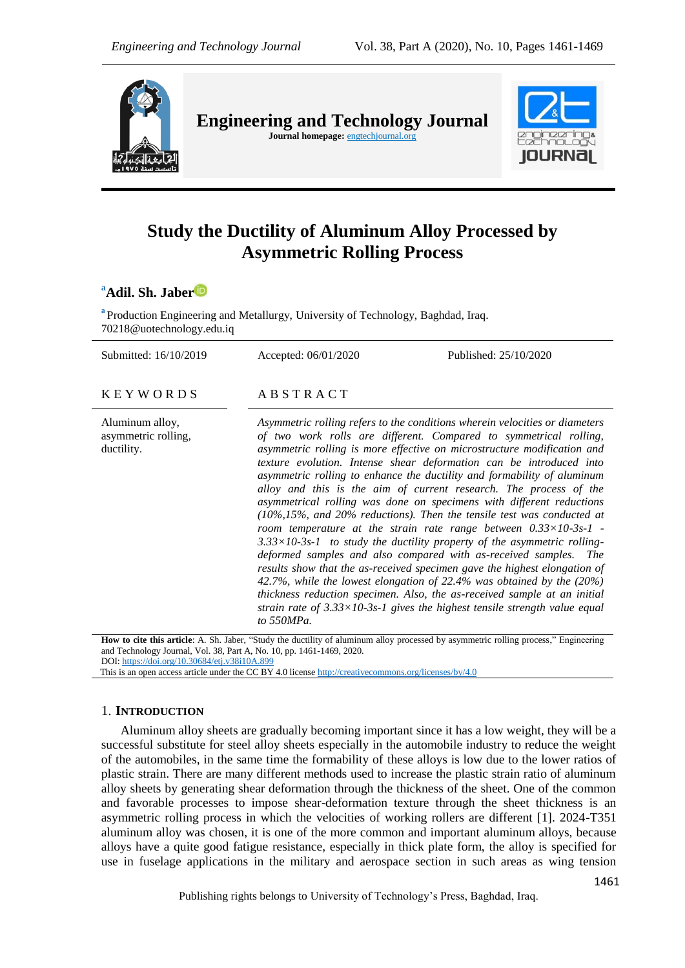

**Engineering and Technology Journal**  Journal homepage: **engtechjournal.org** 



# **Study the Ductility of Aluminum Alloy Processed by Asymmetric Rolling Process**

**<sup>a</sup>Adil. Sh. Jabe[r](https://orcid.org/0000-0001-8312-361X)**

<sup>a</sup> Production Engineering and Metallurgy, University of Technology, Baghdad, Iraq. [70218@uotechnology.edu.iq](mailto:70218@uotechnology.edu.iq)

Submitted: 16/10/2019 Accepted: 06/01/2020 Published: 25/10/2020

 $K$  E Y W O R D S A B S T R A C T

Aluminum alloy, asymmetric rolling, ductility.

*Asymmetric rolling refers to the conditions wherein velocities or diameters of two work rolls are different. Compared to symmetrical rolling, asymmetric rolling is more effective on microstructure modification and texture evolution. Intense shear deformation can be introduced into asymmetric rolling to enhance the ductility and formability of aluminum alloy and this is the aim of current research. The process of the asymmetrical rolling was done on specimens with different reductions (10%,15%, and 20% reductions). Then the tensile test was conducted at room temperature at the strain rate range between 0.33×10-3s-1 - 3.33×10-3s-1 to study the ductility property of the asymmetric rollingdeformed samples and also compared with as-received samples. The results show that the as-received specimen gave the highest elongation of 42.7%, while the lowest elongation of 22.4% was obtained by the (20%) thickness reduction specimen. Also, the as-received sample at an initial strain rate of 3.33×10-3s-1 gives the highest tensile strength value equal to 550MPa.*

**How to cite this article**: A. Sh. Jaber, "Study the ductility of aluminum alloy processed by asymmetric rolling process," Engineering and Technology Journal, Vol. 38, Part A, No. 10, pp. 1461-1469, 2020. DOI: <https://doi.org/10.30684/etj.v38i10A.899>

This is an open access article under the CC BY 4.0 licens[e http://creativecommons.org/licenses/by/4.0](http://creativecommons.org/licenses/by/4.0)

# 1. **INTRODUCTION**

Aluminum alloy sheets are gradually becoming important since it has a low weight, they will be a successful substitute for steel alloy sheets especially in the automobile industry to reduce the weight of the automobiles, in the same time the formability of these alloys is low due to the lower ratios of plastic strain. There are many different methods used to increase the plastic strain ratio of aluminum alloy sheets by generating shear deformation through the thickness of the sheet. One of the common and favorable processes to impose shear-deformation texture through the sheet thickness is an asymmetric rolling process in which the velocities of working rollers are different [1]. 2024-T351 aluminum alloy was chosen, it is one of the more common and important aluminum alloys, because alloys have a quite good fatigue resistance, especially in thick plate form, the alloy is specified for use in fuselage applications in the military and aerospace section in such areas as wing tension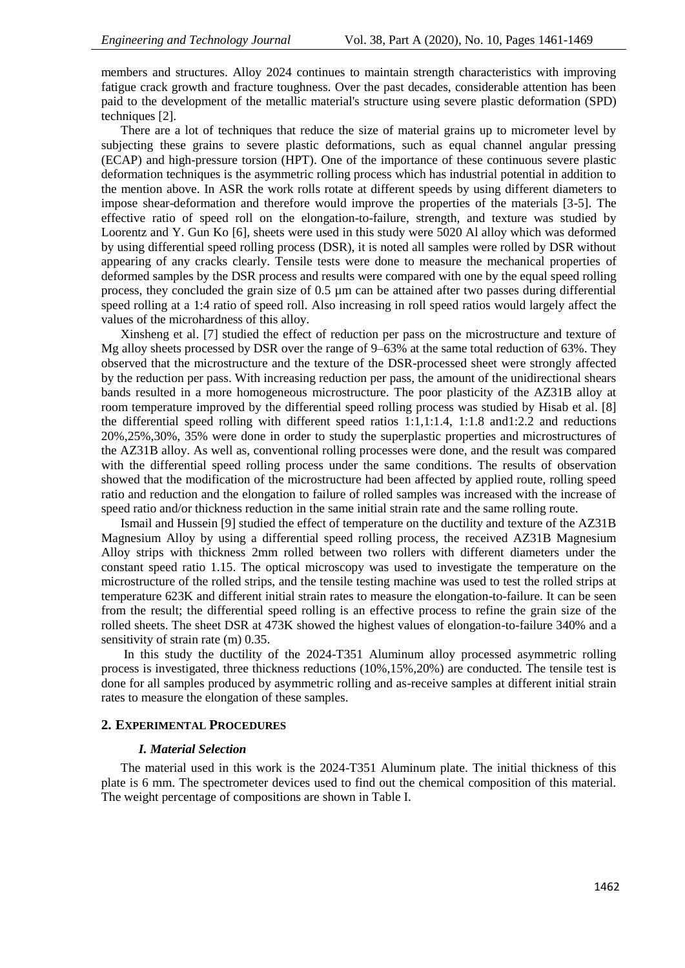members and structures. Alloy 2024 continues to maintain strength characteristics with improving fatigue crack growth and fracture toughness. Over the past decades, considerable attention has been paid to the development of the metallic material's structure using severe plastic deformation (SPD) techniques [2].

There are a lot of techniques that reduce the size of material grains up to micrometer level by subjecting these grains to severe plastic deformations, such as equal channel angular pressing (ECAP) and high-pressure torsion (HPT). One of the importance of these continuous severe plastic deformation techniques is the asymmetric rolling process which has industrial potential in addition to the mention above. In ASR the work rolls rotate at different speeds by using different diameters to impose shear-deformation and therefore would improve the properties of the materials [3-5]. The effective ratio of speed roll on the elongation-to-failure, strength, and texture was studied by Loorentz and Y. Gun Ko [6], sheets were used in this study were 5020 Al alloy which was deformed by using differential speed rolling process (DSR), it is noted all samples were rolled by DSR without appearing of any cracks clearly. Tensile tests were done to measure the mechanical properties of deformed samples by the DSR process and results were compared with one by the equal speed rolling process, they concluded the grain size of 0.5 µm can be attained after two passes during differential speed rolling at a 1:4 ratio of speed roll. Also increasing in roll speed ratios would largely affect the values of the microhardness of this alloy.

Xinsheng et al. [7] studied the effect of reduction per pass on the microstructure and texture of Mg alloy sheets processed by DSR over the range of 9–63% at the same total reduction of 63%. They observed that the microstructure and the texture of the DSR-processed sheet were strongly affected by the reduction per pass. With increasing reduction per pass, the amount of the unidirectional shears bands resulted in a more homogeneous microstructure. The poor plasticity of the AZ31B alloy at room temperature improved by the differential speed rolling process was studied by Hisab et al. [8] the differential speed rolling with different speed ratios 1:1,1:1.4, 1:1.8 and1:2.2 and reductions 20%,25%,30%, 35% were done in order to study the superplastic properties and microstructures of the AZ31B alloy. As well as, conventional rolling processes were done, and the result was compared with the differential speed rolling process under the same conditions. The results of observation showed that the modification of the microstructure had been affected by applied route, rolling speed ratio and reduction and the elongation to failure of rolled samples was increased with the increase of speed ratio and/or thickness reduction in the same initial strain rate and the same rolling route.

Ismail and Hussein [9] studied the effect of temperature on the ductility and texture of the AZ31B Magnesium Alloy by using a differential speed rolling process, the received AZ31B Magnesium Alloy strips with thickness 2mm rolled between two rollers with different diameters under the constant speed ratio 1.15. The optical microscopy was used to investigate the temperature on the microstructure of the rolled strips, and the tensile testing machine was used to test the rolled strips at temperature 623K and different initial strain rates to measure the elongation-to-failure. It can be seen from the result; the differential speed rolling is an effective process to refine the grain size of the rolled sheets. The sheet DSR at 473K showed the highest values of elongation-to-failure 340% and a sensitivity of strain rate (m) 0.35.

In this study the ductility of the 2024-T351 Aluminum alloy processed asymmetric rolling process is investigated, three thickness reductions (10%,15%,20%) are conducted. The tensile test is done for all samples produced by asymmetric rolling and as-receive samples at different initial strain rates to measure the elongation of these samples.

# **2. EXPERIMENTAL PROCEDURES**

# *I. Material Selection*

The material used in this work is the 2024-T351 Aluminum plate. The initial thickness of this plate is 6 mm. The spectrometer devices used to find out the chemical composition of this material. The weight percentage of compositions are shown in Table I.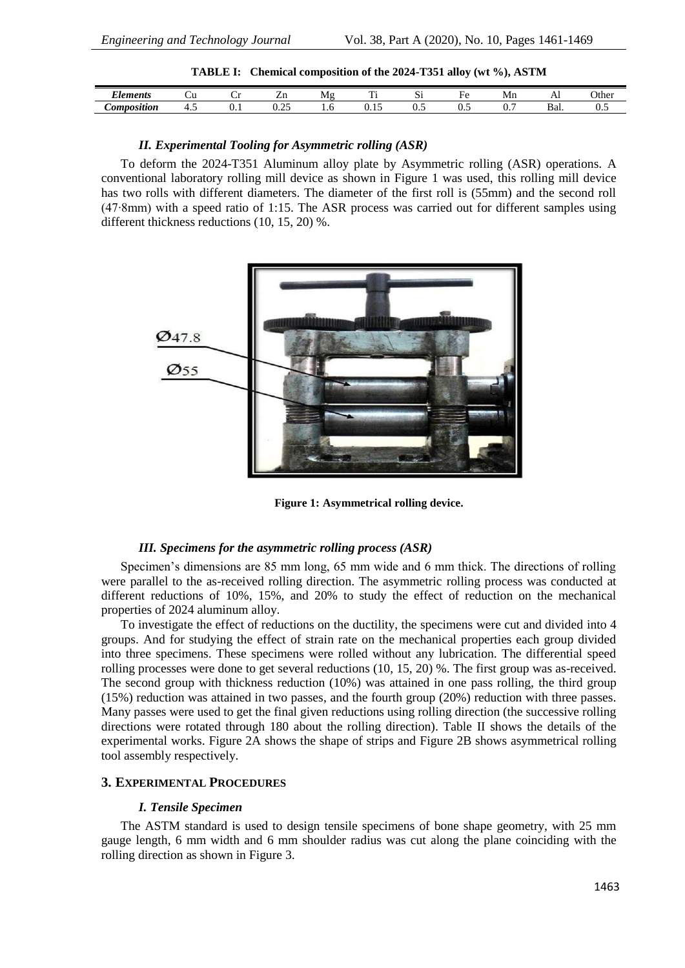**TABLE I: Chemical composition of the 2024-T351 alloy (wt %), ASTM**

| $\sim$<br><i>Elements</i> | ັ  |     | <b>LIL</b>         | Μg | $\sim$<br>-- | -<br>IJ. | ыc             | Mn | $\overline{11}$ | Other |
|---------------------------|----|-----|--------------------|----|--------------|----------|----------------|----|-----------------|-------|
| <i>_omposition</i>        | −. | v.ı | $\sim$ $\sim$<br>. |    |              | ິ        | $\mathbf{v}$ . | v. | - י<br>Dal.     | ∪.J   |

#### *II. Experimental Tooling for Asymmetric rolling (ASR)*

To deform the 2024-T351 Aluminum alloy plate by Asymmetric rolling (ASR) operations. A conventional laboratory rolling mill device as shown in Figure 1 was used, this rolling mill device has two rolls with different diameters. The diameter of the first roll is (55mm) and the second roll (47∙8mm) with a speed ratio of 1:15. The ASR process was carried out for different samples using different thickness reductions (10, 15, 20) %.



**Figure 1: Asymmetrical rolling device.**

#### *III. Specimens for the asymmetric rolling process (ASR)*

Specimen's dimensions are 85 mm long, 65 mm wide and 6 mm thick. The directions of rolling were parallel to the as-received rolling direction. The asymmetric rolling process was conducted at different reductions of 10%, 15%, and 20% to study the effect of reduction on the mechanical properties of 2024 aluminum alloy.

To investigate the effect of reductions on the ductility, the specimens were cut and divided into 4 groups. And for studying the effect of strain rate on the mechanical properties each group divided into three specimens. These specimens were rolled without any lubrication. The differential speed rolling processes were done to get several reductions (10, 15, 20) %. The first group was as-received. The second group with thickness reduction (10%) was attained in one pass rolling, the third group (15%) reduction was attained in two passes, and the fourth group (20%) reduction with three passes. Many passes were used to get the final given reductions using rolling direction (the successive rolling directions were rotated through 180 about the rolling direction). Table II shows the details of the experimental works. Figure 2A shows the shape of strips and Figure 2B shows asymmetrical rolling tool assembly respectively.

#### **3. EXPERIMENTAL PROCEDURES**

#### *I. Tensile Specimen*

The ASTM standard is used to design tensile specimens of bone shape geometry, with 25 mm gauge length, 6 mm width and 6 mm shoulder radius was cut along the plane coinciding with the rolling direction as shown in Figure 3.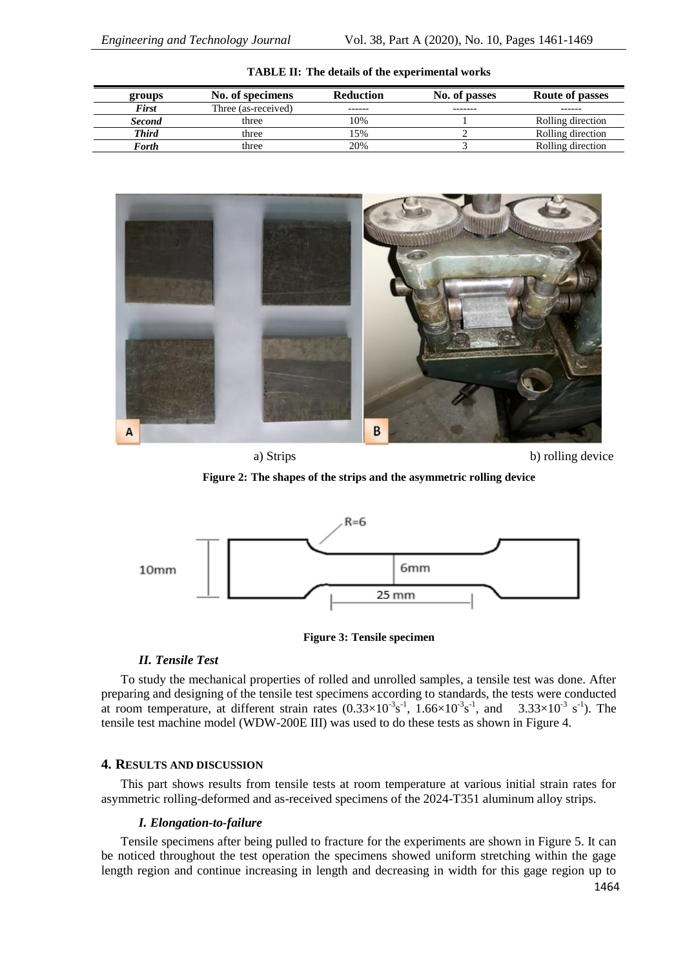| groups        | No. of specimens    | <b>Reduction</b> | No. of passes | <b>Route of passes</b> |
|---------------|---------------------|------------------|---------------|------------------------|
| <b>First</b>  | Three (as-received) | -------          | -------       | ------                 |
| <b>Second</b> | three               | 10%              |               | Rolling direction      |
| <b>Third</b>  | three               | .5%              |               | Rolling direction      |
| Forth         | three               | 20%              |               | Rolling direction      |

**TABLE II: The details of the experimental works**



a) Strips b) rolling device

**Figure 2: The shapes of the strips and the asymmetric rolling device**



**Figure 3: Tensile specimen**

# *II. Tensile Test*

To study the mechanical properties of rolled and unrolled samples, a tensile test was done. After preparing and designing of the tensile test specimens according to standards, the tests were conducted at room temperature, at different strain rates  $(0.33 \times 10^{-3} \text{s}^{-1}$ ,  $1.66 \times 10^{-3} \text{s}^{-1}$ , and  $3.33 \times 10^{-3} \text{s}^{-1}$ ). The tensile test machine model (WDW-200E III) was used to do these tests as shown in Figure 4.

# **4. RESULTS AND DISCUSSION**

This part shows results from tensile tests at room temperature at various initial strain rates for asymmetric rolling-deformed and as-received specimens of the 2024-T351 aluminum alloy strips.

# *I. Elongation-to-failure*

Tensile specimens after being pulled to fracture for the experiments are shown in Figure 5. It can be noticed throughout the test operation the specimens showed uniform stretching within the gage length region and continue increasing in length and decreasing in width for this gage region up to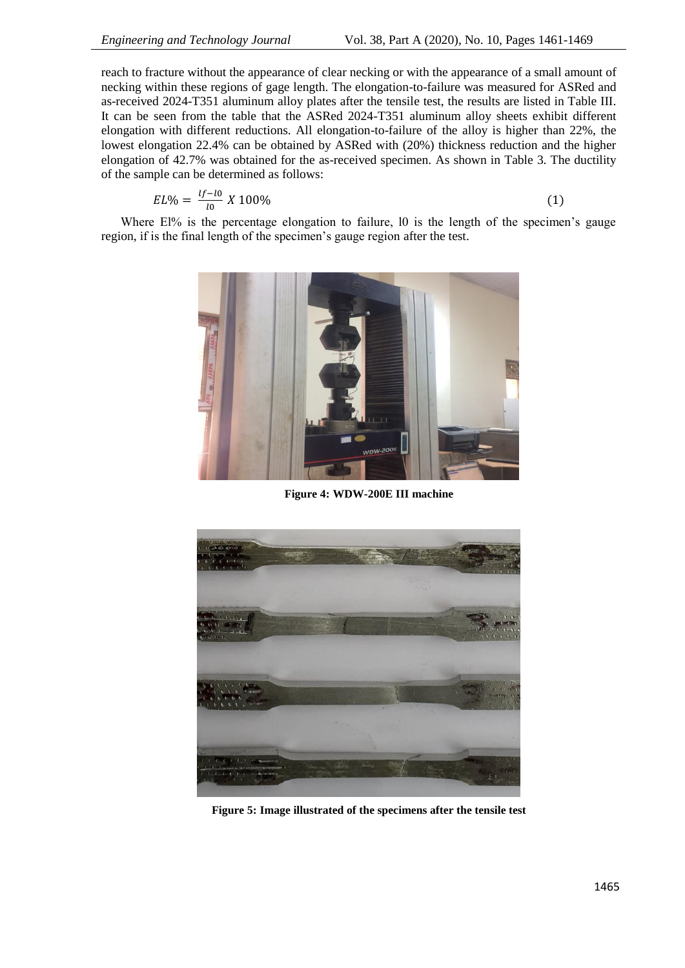reach to fracture without the appearance of clear necking or with the appearance of a small amount of necking within these regions of gage length. The elongation-to-failure was measured for ASRed and as-received 2024-T351 aluminum alloy plates after the tensile test, the results are listed in Table III. It can be seen from the table that the ASRed 2024-T351 aluminum alloy sheets exhibit different elongation with different reductions. All elongation-to-failure of the alloy is higher than 22%, the lowest elongation 22.4% can be obtained by ASRed with (20%) thickness reduction and the higher elongation of 42.7% was obtained for the as-received specimen. As shown in Table 3. The ductility of the sample can be determined as follows:

$$
EL\% = \frac{tf - l0}{l0} \, X \, 100\%
$$

Where El% is the percentage elongation to failure, 10 is the length of the specimen's gauge region, if is the final length of the specimen's gauge region after the test.



**Figure 4: WDW-200E III machine**



**Figure 5: Image illustrated of the specimens after the tensile test**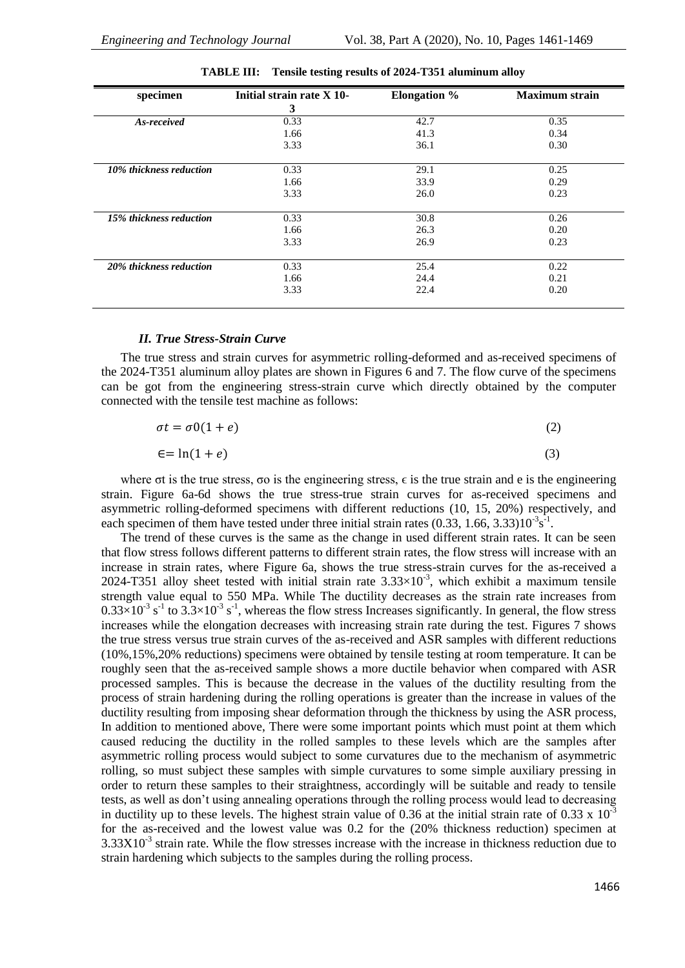| specimen                | Initial strain rate X 10- | <b>Elongation %</b> | <b>Maximum</b> strain |
|-------------------------|---------------------------|---------------------|-----------------------|
|                         | 3                         |                     |                       |
| As-received             | 0.33                      | 42.7                | 0.35                  |
|                         | 1.66                      | 41.3                | 0.34                  |
|                         | 3.33                      | 36.1                | 0.30                  |
| 10% thickness reduction | 0.33                      | 29.1                | 0.25                  |
|                         | 1.66                      | 33.9                | 0.29                  |
|                         | 3.33                      | 26.0                | 0.23                  |
| 15% thickness reduction | 0.33                      | 30.8                | 0.26                  |
|                         | 1.66                      | 26.3                | 0.20                  |
|                         | 3.33                      | 26.9                | 0.23                  |
| 20% thickness reduction | 0.33                      | 25.4                | 0.22                  |
|                         | 1.66                      | 24.4                | 0.21                  |
|                         | 3.33                      | 22.4                | 0.20                  |

| TABLE III: | Tensile testing results of 2024-T351 aluminum alloy |  |
|------------|-----------------------------------------------------|--|
|            |                                                     |  |

#### *II. True Stress-Strain Curve*

The true stress and strain curves for asymmetric rolling-deformed and as-received specimens of the 2024-T351 aluminum alloy plates are shown in Figures 6 and 7. The flow curve of the specimens can be got from the engineering stress-strain curve which directly obtained by the computer connected with the tensile test machine as follows:

| $\sigma t = \sigma 0(1+e)$ | (2) |
|----------------------------|-----|
|                            |     |

$$
\epsilon = \ln(1+e) \tag{3}
$$

where  $\sigma t$  is the true stress,  $\sigma o$  is the engineering stress,  $\epsilon$  is the true strain and e is the engineering strain. Figure 6a-6d shows the true stress-true strain curves for as-received specimens and asymmetric rolling-deformed specimens with different reductions (10, 15, 20%) respectively, and each specimen of them have tested under three initial strain rates  $(0.33, 1.66, 3.33)10^{-3} s^{-1}$ .

The trend of these curves is the same as the change in used different strain rates. It can be seen that flow stress follows different patterns to different strain rates, the flow stress will increase with an increase in strain rates, where Figure 6a, shows the true stress-strain curves for the as-received a 2024-T351 alloy sheet tested with initial strain rate  $3.33 \times 10^{-3}$ , which exhibit a maximum tensile strength value equal to 550 MPa. While The ductility decreases as the strain rate increases from  $0.33 \times 10^{-3}$  s<sup>-1</sup> to  $3.3 \times 10^{-3}$  s<sup>-1</sup>, whereas the flow stress Increases significantly. In general, the flow stress increases while the elongation decreases with increasing strain rate during the test. Figures 7 shows the true stress versus true strain curves of the as-received and ASR samples with different reductions (10%,15%,20% reductions) specimens were obtained by tensile testing at room temperature. It can be roughly seen that the as-received sample shows a more ductile behavior when compared with ASR processed samples. This is because the decrease in the values of the ductility resulting from the process of strain hardening during the rolling operations is greater than the increase in values of the ductility resulting from imposing shear deformation through the thickness by using the ASR process, In addition to mentioned above, There were some important points which must point at them which caused reducing the ductility in the rolled samples to these levels which are the samples after asymmetric rolling process would subject to some curvatures due to the mechanism of asymmetric rolling, so must subject these samples with simple curvatures to some simple auxiliary pressing in order to return these samples to their straightness, accordingly will be suitable and ready to tensile tests, as well as don't using annealing operations through the rolling process would lead to decreasing in ductility up to these levels. The highest strain value of 0.36 at the initial strain rate of 0.33 x  $10^{-3}$ for the as-received and the lowest value was 0.2 for the (20% thickness reduction) specimen at  $3.33X10^{-3}$  strain rate. While the flow stresses increase with the increase in thickness reduction due to strain hardening which subjects to the samples during the rolling process.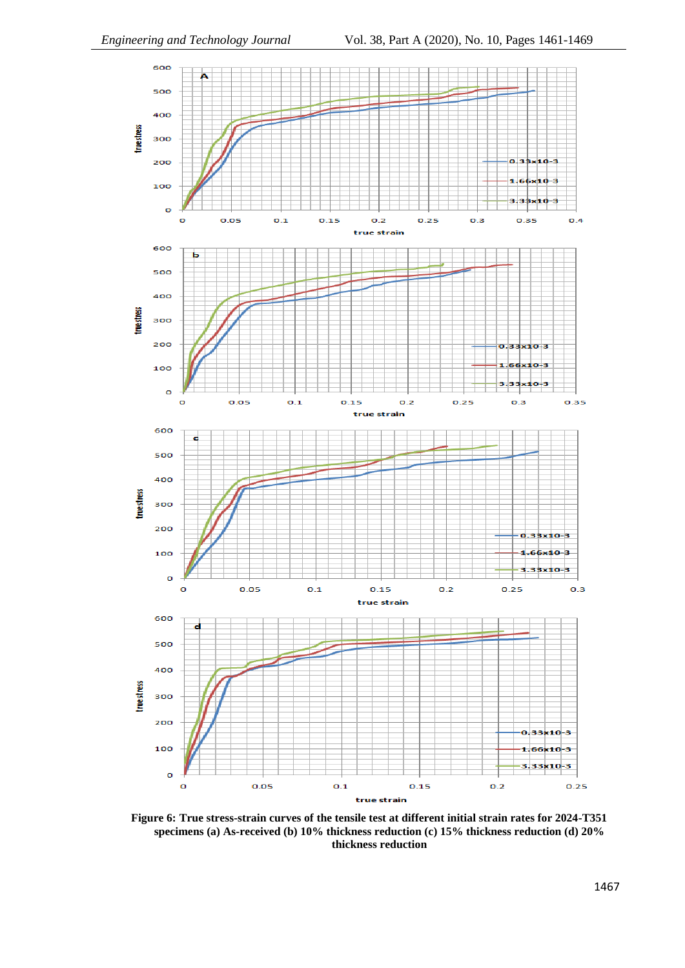

**Figure 6: True stress-strain curves of the tensile test at different initial strain rates for 2024-T351 specimens (a) As-received (b) 10% thickness reduction (c) 15% thickness reduction (d) 20% thickness reduction**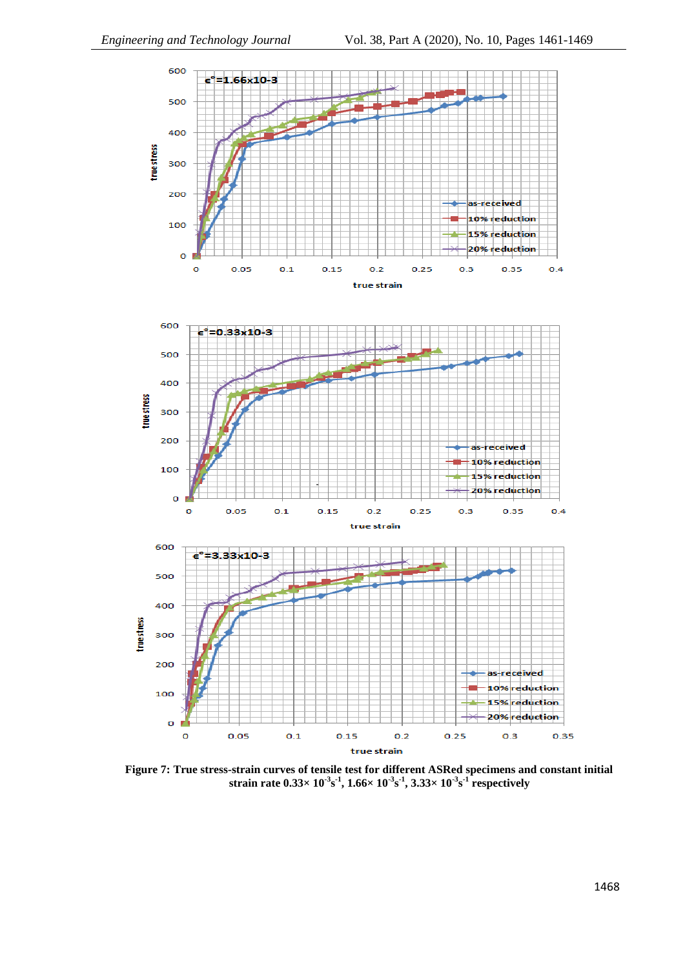

**Figure 7: True stress-strain curves of tensile test for different ASRed specimens and constant initial strain rate 0.33× 10-3 s -1 , 1.66× 10-3 s -1 , 3.33× 10-3 s -1 respectively**